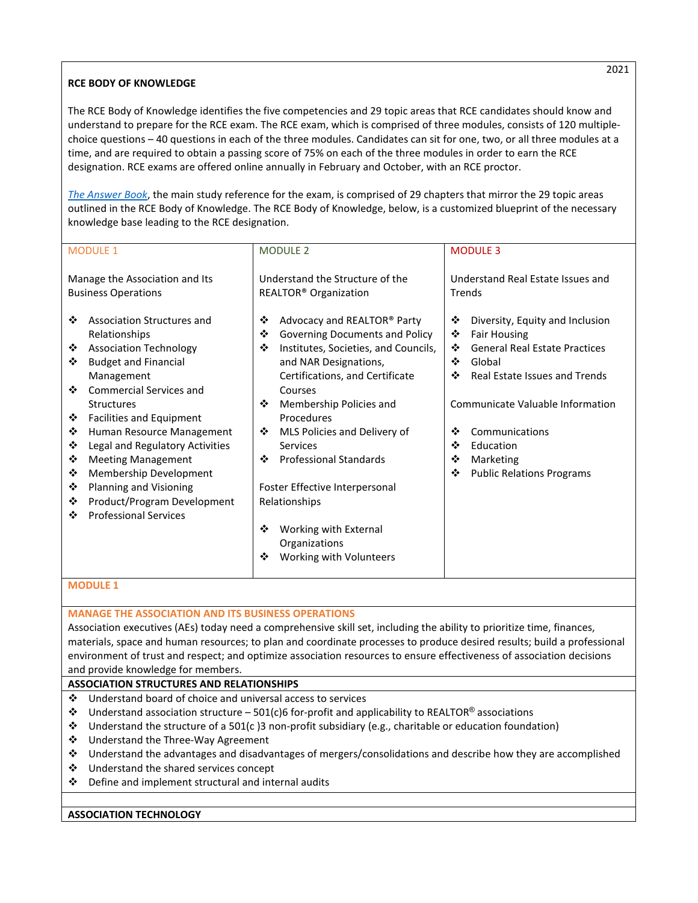# **RCE BODY OF KNOWLEDGE**

The RCE Body of Knowledge identifies the five competencies and 29 topic areas that RCE candidates should know and understand to prepare for the RCE exam. The RCE exam, which is comprised of three modules, consists of 120 multiplechoice questions – 40 questions in each of the three modules. Candidates can sit for one, two, or all three modules at a time, and are required to obtain a passing score of 75% on each of the three modules in order to earn the RCE designation. RCE exams are offered online annually in February and October, with an RCE proctor.

*[The Answer Book](http://www.nar.realtor/answerbook)*, the main study reference for the exam, is comprised of 29 chapters that mirror the 29 topic areas outlined in the RCE Body of Knowledge. The RCE Body of Knowledge, below, is a customized blueprint of the necessary knowledge base leading to the RCE designation.

| <b>MODULE 1</b>                                                                                                                                                                                                                                                                                                                                                                                                                                                                          | <b>MODULE 2</b>                                                                                                                                                                                                                                                                                                                                                                                                                                                    | <b>MODULE 3</b>                                                                                                                                                                                                                                                                                                   |  |
|------------------------------------------------------------------------------------------------------------------------------------------------------------------------------------------------------------------------------------------------------------------------------------------------------------------------------------------------------------------------------------------------------------------------------------------------------------------------------------------|--------------------------------------------------------------------------------------------------------------------------------------------------------------------------------------------------------------------------------------------------------------------------------------------------------------------------------------------------------------------------------------------------------------------------------------------------------------------|-------------------------------------------------------------------------------------------------------------------------------------------------------------------------------------------------------------------------------------------------------------------------------------------------------------------|--|
| Manage the Association and Its<br><b>Business Operations</b>                                                                                                                                                                                                                                                                                                                                                                                                                             | Understand the Structure of the<br>REALTOR <sup>®</sup> Organization                                                                                                                                                                                                                                                                                                                                                                                               | Understand Real Estate Issues and<br>Trends                                                                                                                                                                                                                                                                       |  |
| Association Structures and<br>❖<br>Relationships<br><b>Association Technology</b><br>❖<br><b>Budget and Financial</b><br>❖<br>Management<br>Commercial Services and<br>❖<br><b>Structures</b><br>❖<br><b>Facilities and Equipment</b><br>❖<br>Human Resource Management<br>Legal and Regulatory Activities<br>❖<br>❖<br><b>Meeting Management</b><br>Membership Development<br>❖<br>Planning and Visioning<br>❖<br>Product/Program Development<br>❖<br><b>Professional Services</b><br>❖ | Advocacy and REALTOR® Party<br>❖<br>❖<br>Governing Documents and Policy<br>Institutes, Societies, and Councils,<br>❖<br>and NAR Designations,<br>Certifications, and Certificate<br>Courses<br>❖<br>Membership Policies and<br>Procedures<br>❖<br>MLS Policies and Delivery of<br>Services<br><b>Professional Standards</b><br>❖<br>Foster Effective Interpersonal<br>Relationships<br>❖<br>Working with External<br>Organizations<br>Working with Volunteers<br>❖ | ❖<br>Diversity, Equity and Inclusion<br>❖<br><b>Fair Housing</b><br><b>General Real Estate Practices</b><br>❖<br>❖<br>Global<br>❖<br><b>Real Estate Issues and Trends</b><br>Communicate Valuable Information<br>❖<br>Communications<br>❖<br>Education<br>Marketing<br>❖<br>❖<br><b>Public Relations Programs</b> |  |
| <b>MODULE 1</b>                                                                                                                                                                                                                                                                                                                                                                                                                                                                          |                                                                                                                                                                                                                                                                                                                                                                                                                                                                    |                                                                                                                                                                                                                                                                                                                   |  |
| <b>MANAGE THE ASSOCIATION AND ITS BUSINESS OPERATIONS</b>                                                                                                                                                                                                                                                                                                                                                                                                                                |                                                                                                                                                                                                                                                                                                                                                                                                                                                                    |                                                                                                                                                                                                                                                                                                                   |  |

Association executives (AEs) today need a comprehensive skill set, including the ability to prioritize time, finances, materials, space and human resources; to plan and coordinate processes to produce desired results; build a professional environment of trust and respect; and optimize association resources to ensure effectiveness of association decisions and provide knowledge for members.

## **ASSOCIATION STRUCTURES AND RELATIONSHIPS**

- Understand board of choice and universal access to services
- $\cdot \cdot$  Understand association structure 501(c)6 for-profit and applicability to REALTOR® associations
- Understand the structure of a 501(c )3 non-profit subsidiary (e.g., charitable or education foundation)
- Understand the Three-Way Agreement
- Understand the advantages and disadvantages of mergers/consolidations and describe how they are accomplished
- Understand the shared services concept
- Define and implement structural and internal audits

## **ASSOCIATION TECHNOLOGY**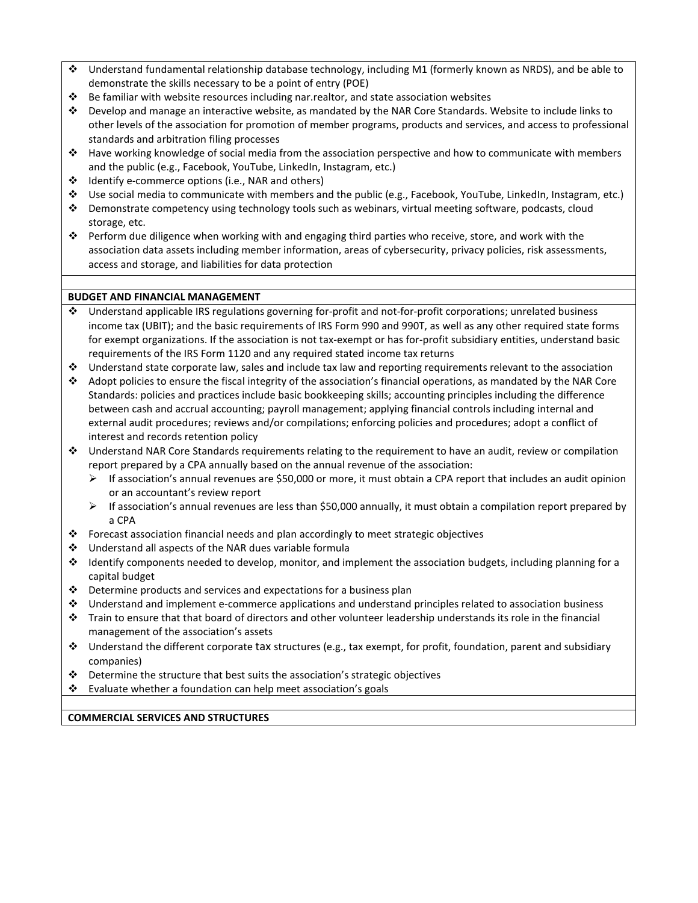- Understand fundamental relationship database technology, including M1 (formerly known as NRDS), and be able to demonstrate the skills necessary to be a point of entry (POE)
- $\div$  Be familiar with website resources including [nar.realtor,](http://www.nar.realtor/) and state association websites
- Develop and manage an interactive website, as mandated by the NAR Core Standards. Website to include links to other levels of the association for promotion of member programs, products and services, and access to professional standards and arbitration filing processes
- Have working knowledge of social media from the association perspective and how to communicate with members and the public (e.g., Facebook, YouTube, LinkedIn, Instagram, etc.)
- ❖ Identify e-commerce options (i.e., NAR and others)
- Use social media to communicate with members and the public (e.g., Facebook, YouTube, LinkedIn, Instagram, etc.)
- Demonstrate competency using technology tools such as webinars, virtual meeting software, podcasts, cloud storage, etc.
- Perform due diligence when working with and engaging third parties who receive, store, and work with the association data assets including member information, areas of cybersecurity, privacy policies, risk assessments, access and storage, and liabilities for data protection

## **BUDGET AND FINANCIAL MANAGEMENT**

- Understand applicable IRS regulations governing for-profit and not-for-profit corporations; unrelated business income tax (UBIT); and the basic requirements of IRS Form 990 and 990T, as well as any other required state forms for exempt organizations. If the association is not tax-exempt or has for-profit subsidiary entities, understand basic requirements of the IRS Form 1120 and any required stated income tax returns
- $\cdot \cdot$  Understand state corporate law, sales and include tax law and reporting requirements relevant to the association
- Adopt policies to ensure the fiscal integrity of the association's financial operations, as mandated by the NAR Core Standards: policies and practices include basic bookkeeping skills; accounting principles including the difference between cash and accrual accounting; payroll management; applying financial controls including internal and external audit procedures; reviews and/or compilations; enforcing policies and procedures; adopt a conflict of interest and records retention policy
- Understand NAR Core Standards requirements relating to the requirement to have an audit, review or compilation report prepared by a CPA annually based on the annual revenue of the association:
	- $\triangleright$  If association's annual revenues are \$50,000 or more, it must obtain a CPA report that includes an audit opinion or an accountant's review report
	- $\triangleright$  If association's annual revenues are less than \$50,000 annually, it must obtain a compilation report prepared by a CPA
- Forecast association financial needs and plan accordingly to meet strategic objectives
- Understand all aspects of the NAR dues variable formula
- Identify components needed to develop, monitor, and implement the association budgets, including planning for a capital budget
- Determine products and services and expectations for a business plan
- Understand and implement e-commerce applications and understand principles related to association business
- Train to ensure that that board of directors and other volunteer leadership understands its role in the financial management of the association's assets
- $\cdot \cdot$  Understand the different corporate tax structures (e.g., tax exempt, for profit, foundation, parent and subsidiary companies)
- Determine the structure that best suits the association's strategic objectives
- Evaluate whether a foundation can help meet association's goals

**COMMERCIAL SERVICES AND STRUCTURES**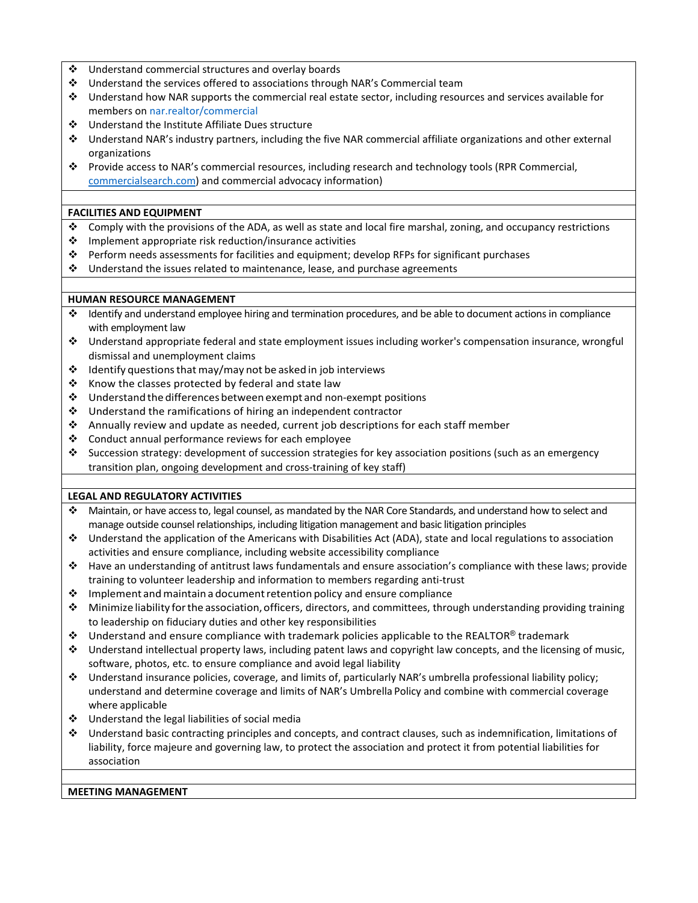- Understand commercial structures and overlay boards
- Understand the services offered to associations through NAR's Commercial team
- Understand how NAR supports the commercial real estate sector, including resources and services available for members on [nar.realtor/commercial](http://www.nar.realtor/commercial)
- Understand the Institute Affiliate Dues structure
- Understand NAR's industry partners, including the five NAR commercial affiliate organizations and other external organizations
- Provide access to NAR's commercial resources, including research and technology tools (RPR Commercial, [commercialsearch.com\)](http://www.commercialsearch.com/) and commercial advocacy information)

### **FACILITIES AND EQUIPMENT**

- $\bullet$  Comply with the provisions of the ADA, as well as state and local fire marshal, zoning, and occupancy restrictions
- $\cdot$  Implement appropriate risk reduction/insurance activities
- Perform needs assessments for facilities and equipment; develop RFPs for significant purchases
- Understand the issues related to maintenance, lease, and purchase agreements

### **HUMAN RESOURCE MANAGEMENT**

- Identify and understand employee hiring and termination procedures, and be able to document actions in compliance with employment law
- Understand appropriate federal and state employment issues including worker's compensation insurance, wrongful dismissal and unemployment claims
- $\cdot$  Identify questions that may/may not be asked in job interviews
- $\triangle$  Know the classes protected by federal and state law
- $\cdot$  Understand the differences between exempt and non-exempt positions
- Understand the ramifications of hiring an independent contractor
- Annually review and update as needed, current job descriptions for each staff member
- Conduct annual performance reviews for each employee
- Succession strategy: development of succession strategies for key association positions (such as an emergency transition plan, ongoing development and cross-training of key staff)

## **LEGAL AND REGULATORY ACTIVITIES**

- Maintain, or have access to, legal counsel, as mandated by the NAR Core Standards, and understand how to select and manage outside counsel relationships, including litigation management and basic litigation principles
- Understand the application of the Americans with Disabilities Act (ADA), state and local regulations to association activities and ensure compliance, including website accessibility compliance
- Have an understanding of antitrust laws fundamentals and ensure association's compliance with these laws; provide training to volunteer leadership and information to members regarding anti-trust
- $\cdot$  Implement and maintain a document retention policy and ensure compliance
- Minimize liability forthe association,officers, directors, and committees, through understanding providing training to leadership on fiduciary duties and other key responsibilities
- $\cdot \cdot$  Understand and ensure compliance with trademark policies applicable to the REALTOR<sup>®</sup> trademark
- Understand intellectual property laws, including patent laws and copyright law concepts, and the licensing of music, software, photos, etc. to ensure compliance and avoid legal liability
- Understand insurance policies, coverage, and limits of, particularly NAR's umbrella professional liability policy; understand and determine coverage and limits of NAR's Umbrella Policy and combine with commercial coverage where applicable
- $\div$  Understand the legal liabilities of social media
- Understand basic contracting principles and concepts, and contract clauses, such as indemnification, limitations of liability, force majeure and governing law, to protect the association and protect it from potential liabilities for association

### **MEETING MANAGEMENT**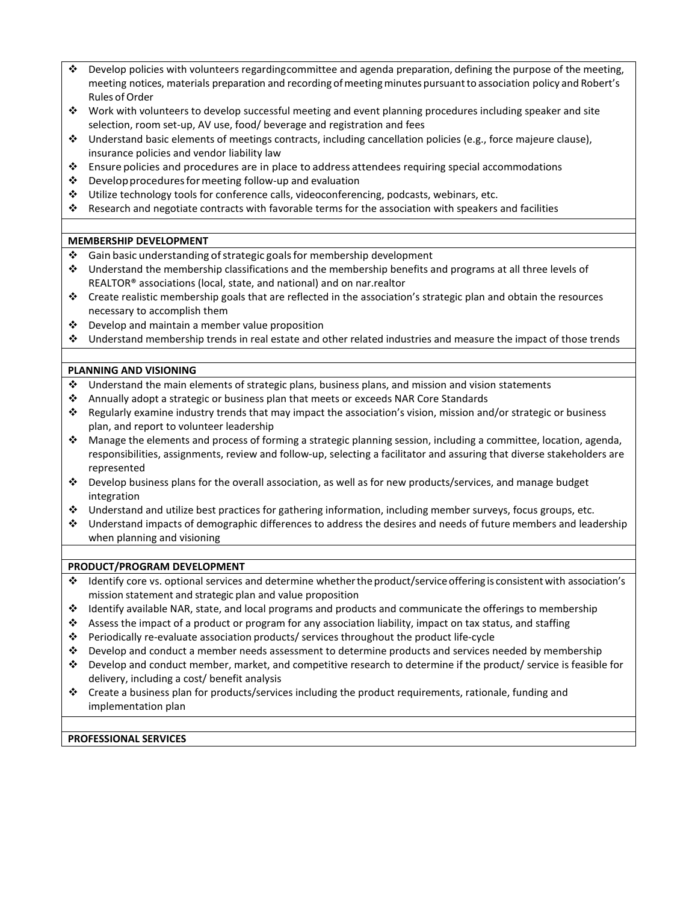- Develop policies with volunteers regardingcommittee and agenda preparation, defining the purpose of the meeting, meeting notices, materials preparation and recording of meeting minutes pursuant to association policy and Robert's Rules of Order
- Work with volunteers to develop successful meeting and event planning procedures including speaker and site selection, room set-up, AV use, food/ beverage and registration and fees
- Understand basic elements of meetings contracts, including cancellation policies (e.g., force majeure clause), insurance policies and vendor liability law
- $\cdot \cdot$  Ensure policies and procedures are in place to address attendees requiring special accommodations
- $\cdot \cdot$  Develop procedures for meeting follow-up and evaluation
- Utilize technology tools for conference calls, videoconferencing, podcasts, webinars, etc.
- Research and negotiate contracts with favorable terms for the association with speakers and facilities

# **MEMBERSHIP DEVELOPMENT**

- $\cdot$  Gain basic understanding of strategic goals for membership development
- Understand the membership classifications and the membership benefits and programs at all three levels of REALTOR® associations (local, state, and national) and on nar.realtor
- $\cdot \cdot$  Create realistic membership goals that are reflected in the association's strategic plan and obtain the resources necessary to accomplish them
- Develop and maintain a member value proposition
- Understand membership trends in real estate and other related industries and measure the impact of those trends

# **PLANNING AND VISIONING**

- $\cdot \cdot$  Understand the main elements of strategic plans, business plans, and mission and vision statements
- Annually adopt a strategic or business plan that meets or exceeds NAR Core Standards
- Regularly examine industry trends that may impact the association's vision, mission and/or strategic or business plan, and report to volunteer leadership
- Manage the elements and process of forming a strategic planning session, including a committee, location, agenda, responsibilities, assignments, review and follow-up, selecting a facilitator and assuring that diverse stakeholders are represented
- Develop business plans for the overall association, as well as for new products/services, and manage budget integration
- Understand and utilize best practices for gathering information, including member surveys, focus groups, etc.
- Understand impacts of demographic differences to address the desires and needs of future members and leadership when planning and visioning

## **PRODUCT/PROGRAM DEVELOPMENT**

- Identify core vs. optional services and determine whethertheproduct/serviceoffering is consistent with association's mission statement and strategic plan and value proposition
- Identify available NAR, state, and local programs and products and communicate the offerings to membership
- $\bullet$  Assess the impact of a product or program for any association liability, impact on tax status, and staffing
- Periodically re-evaluate association products/ services throughout the product life-cycle
- $\div$  Develop and conduct a member needs assessment to determine products and services needed by membership
- Develop and conduct member, market, and competitive research to determine if the product/ service is feasible for delivery, including a cost/ benefit analysis
- $\cdot \cdot$  Create a business plan for products/services including the product requirements, rationale, funding and implementation plan

## **PROFESSIONAL SERVICES**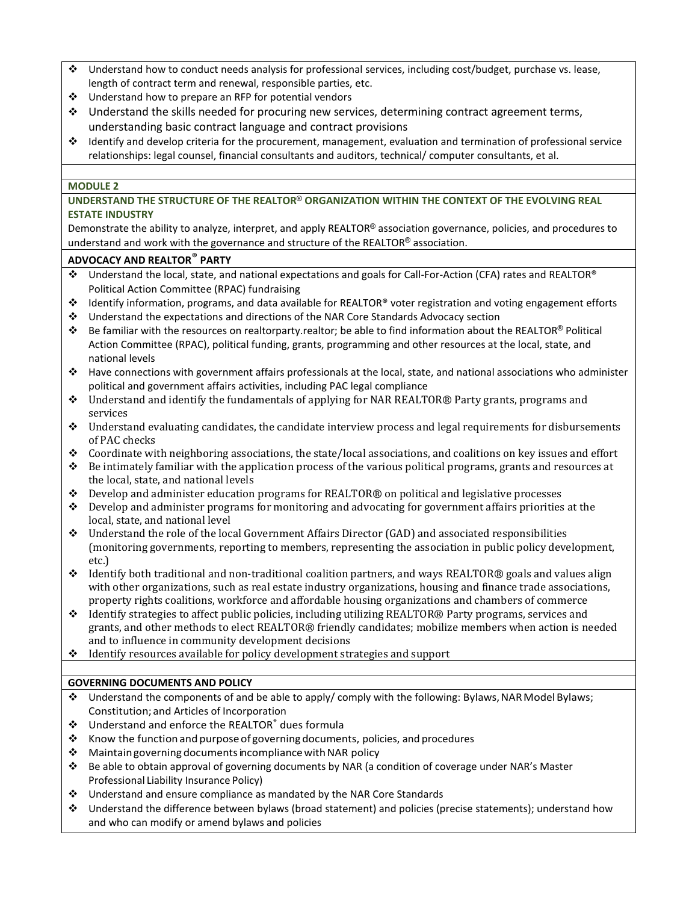- Understand how to conduct needs analysis for professional services, including cost/budget, purchase vs. lease, length of contract term and renewal, responsible parties, etc.
- Understand how to prepare an RFP for potential vendors
- Understand the skills needed for procuring new services, determining contract agreement terms, understanding basic contract language and contract provisions
- $\cdot \cdot$  Identify and develop criteria for the procurement, management, evaluation and termination of professional service relationships: legal counsel, financial consultants and auditors, technical/ computer consultants, et al.

### **MODULE 2**

# **UNDERSTAND THE STRUCTURE OF THE REALTOR**® **ORGANIZATION WITHIN THE CONTEXT OF THE EVOLVING REAL ESTATE INDUSTRY**

Demonstrate the ability to analyze, interpret, and apply REALTOR<sup>®</sup> association governance, policies, and procedures to understand and work with the governance and structure of the REALTOR® association.

# **ADVOCACY AND REALTOR**® **PARTY**

- Understand the local, state, and national expectations and goals for Call-For-Action (CFA) rates and REALTOR® Political Action Committee (RPAC) fundraising
- Identify information, programs, and data available for REALTOR® voter registration and voting engagement efforts
- Understand the expectations and directions of the NAR Core Standards Advocacy section
- Be familiar with the resources on realtorparty.realtor; be able to find information about the REALTOR® Political Action Committee (RPAC), political funding, grants, programming and other resources at the local, state, and national levels
- Have connections with government affairs professionals at the local, state, and national associations who administer political and government affairs activities, including PAC legal compliance
- $\bullet$  Understand and identify the fundamentals of applying for NAR REALTOR® Party grants, programs and services
- Understand evaluating candidates, the candidate interview process and legal requirements for disbursements of PAC checks
- $\bullet$  Coordinate with neighboring associations, the state/local associations, and coalitions on key issues and effort
- $\bullet$  Be intimately familiar with the application process of the various political programs, grants and resources at the local, state, and national levels
- Develop and administer education programs for REALTOR® on political and legislative processes
- $\bullet$  Develop and administer programs for monitoring and advocating for government affairs priorities at the local, state, and national level
- Understand the role of the local Government Affairs Director (GAD) and associated responsibilities (monitoring governments, reporting to members, representing the association in public policy development, etc.)
- $\cdot$  Identify both traditional and non-traditional coalition partners, and ways REALTOR® goals and values align with other organizations, such as real estate industry organizations, housing and finance trade associations, property rights coalitions, workforce and affordable housing organizations and chambers of commerce
- Identify strategies to affect public policies, including utilizing REALTOR® Party programs, services and grants, and other methods to elect REALTOR® friendly candidates; mobilize members when action is needed and to influence in community development decisions
- \* Identify resources available for policy development strategies and support

## **GOVERNING DOCUMENTS AND POLICY**

- Understand the components of and be able to apply/ comply with the following: Bylaws,NARModel Bylaws; Constitution; and Articles of Incorporation
- Understand and enforce the REALTOR® dues formula
- $\cdot$  Know the function and purpose of governing documents, policies, and procedures
- $\triangleq$  Maintain governing documents incompliance with NAR policy
- Be able to obtain approval of governing documents by NAR (a condition of coverage under NAR's Master Professional Liability Insurance Policy)
- $\clubsuit$  Understand and ensure compliance as mandated by the NAR Core Standards
- Understand the difference between bylaws (broad statement) and policies (precise statements); understand how and who can modify or amend bylaws and policies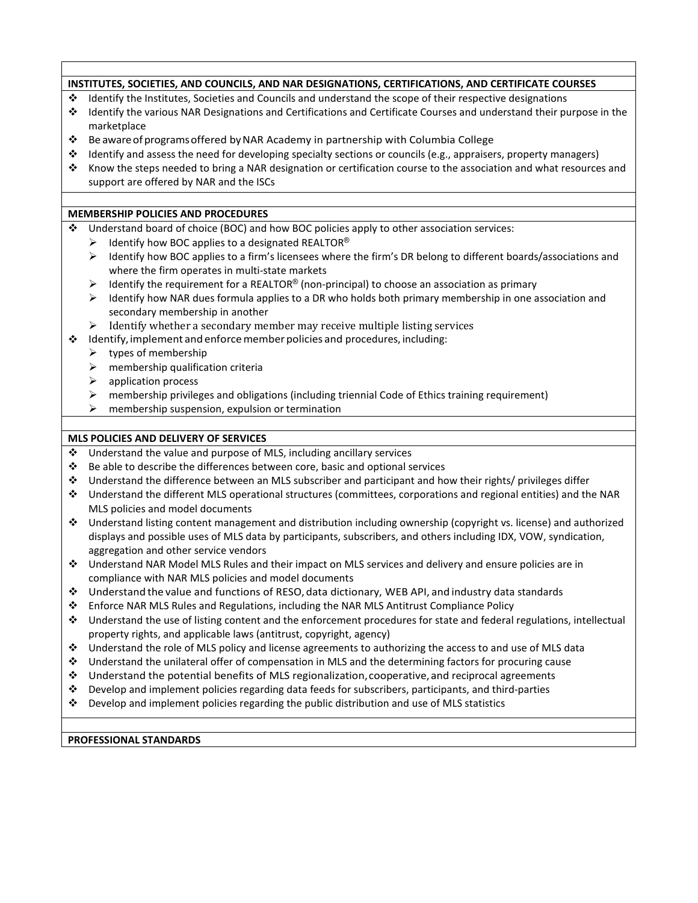|   | INSTITUTES, SOCIETIES, AND COUNCILS, AND NAR DESIGNATIONS, CERTIFICATIONS, AND CERTIFICATE COURSES                   |
|---|----------------------------------------------------------------------------------------------------------------------|
| ❖ | Identify the Institutes, Societies and Councils and understand the scope of their respective designations            |
| ❖ | Identify the various NAR Designations and Certifications and Certificate Courses and understand their purpose in the |
|   | marketplace                                                                                                          |
| ❖ | Be aware of programs offered by NAR Academy in partnership with Columbia College                                     |
| ❖ | Identify and assess the need for developing specialty sections or councils (e.g., appraisers, property managers)     |
| ❖ | Know the steps needed to bring a NAR designation or certification course to the association and what resources and   |
|   | support are offered by NAR and the ISCs                                                                              |
|   |                                                                                                                      |
|   | <b>MEMBERSHIP POLICIES AND PROCEDURES</b>                                                                            |
| ❖ | Understand board of choice (BOC) and how BOC policies apply to other association services:                           |
|   | Identify how BOC applies to a designated REALTOR®<br>➤                                                               |
|   | Identify how BOC applies to a firm's licensees where the firm's DR belong to different boards/associations and<br>➤  |
|   | where the firm operates in multi-state markets                                                                       |
|   | Identify the requirement for a REALTOR® (non-principal) to choose an association as primary<br>➤                     |
|   | Identify how NAR dues formula applies to a DR who holds both primary membership in one association and<br>➤          |
|   | secondary membership in another                                                                                      |
|   | Identify whether a secondary member may receive multiple listing services<br>➤                                       |
| ❖ | Identify, implement and enforce member policies and procedures, including:                                           |
|   | types of membership<br>➤                                                                                             |
|   | membership qualification criteria<br>➤                                                                               |
|   | ➤<br>application process                                                                                             |
|   | ➤<br>membership privileges and obligations (including triennial Code of Ethics training requirement)                 |
|   | ➤<br>membership suspension, expulsion or termination                                                                 |
|   |                                                                                                                      |
|   | MLS POLICIES AND DELIVERY OF SERVICES                                                                                |
| ❖ | Understand the value and purpose of MLS, including ancillary services                                                |
| ❖ | Be able to describe the differences between core, basic and optional services                                        |
| ❖ | Understand the difference between an MLS subscriber and participant and how their rights/ privileges differ          |
| ❖ | Understand the different MLS operational structures (committees, corporations and regional entities) and the NAR     |
|   | MLS policies and model documents                                                                                     |
| ❖ | Understand listing content management and distribution including ownership (copyright vs. license) and authorized    |
|   | displays and possible uses of MLS data by participants, subscribers, and others including IDX, VOW, syndication,     |
|   | aggregation and other service vendors                                                                                |
| ❖ | Understand NAR Model MLS Rules and their impact on MLS services and delivery and ensure policies are in              |
|   | compliance with NAR MLS policies and model documents                                                                 |
| ❖ | Understand the value and functions of RESO, data dictionary, WEB API, and industry data standards                    |
| ❖ | Enforce NAR MLS Rules and Regulations, including the NAR MLS Antitrust Compliance Policy                             |
| ❖ | Understand the use of listing content and the enforcement procedures for state and federal regulations, intellectual |
|   | property rights, and applicable laws (antitrust, copyright, agency)                                                  |
| ❖ | Understand the role of MLS policy and license agreements to authorizing the access to and use of MLS data            |
| ❖ | Understand the unilateral offer of compensation in MLS and the determining factors for procuring cause               |
| ❖ | Understand the potential benefits of MLS regionalization, cooperative, and reciprocal agreements                     |
| ❖ | Develop and implement policies regarding data feeds for subscribers, participants, and third-parties                 |
| ❖ | Develop and implement policies regarding the public distribution and use of MLS statistics                           |
|   |                                                                                                                      |

┑

**PROFESSIONAL STANDARDS**

 $\overline{1}$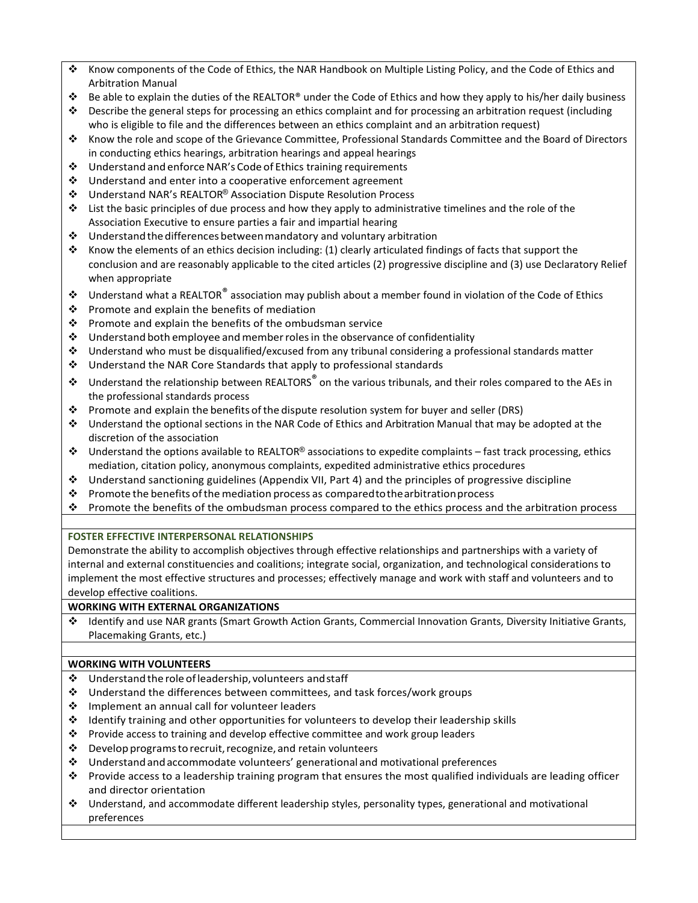- Know components of the Code of Ethics, the NAR Handbook on Multiple Listing Policy, and the Code of Ethics and Arbitration Manual
- Be able to explain the duties of the REALTOR® under the Code of Ethics and how they apply to his/her daily business
- $\cdot$  Describe the general steps for processing an ethics complaint and for processing an arbitration request (including who is eligible to file and the differences between an ethics complaint and an arbitration request)
- Know the role and scope of the Grievance Committee, Professional Standards Committee and the Board of Directors in conducting ethics hearings, arbitration hearings and appeal hearings
- $\cdot$  Understand and enforce NAR's Code of Ethics training requirements
- $\cdot$  Understand and enter into a cooperative enforcement agreement
- Understand NAR's REALTOR® Association Dispute Resolution Process
- List the basic principles of due process and how they apply to administrative timelines and the role of the Association Executive to ensure parties a fair and impartial hearing
- $\cdot \cdot$  Understand the differences between mandatory and voluntary arbitration
- \* Know the elements of an ethics decision including: (1) clearly articulated findings of facts that support the conclusion and are reasonably applicable to the cited articles (2) progressive discipline and (3) use Declaratory Relief when appropriate
- $\triangleq$  Understand what a REALTOR® association may publish about a member found in violation of the Code of Ethics
- $\cdot \cdot$  Promote and explain the benefits of mediation
- $\cdot \cdot$  Promote and explain the benefits of the ombudsman service
- $\cdot \cdot$  Understand both employee and member roles in the observance of confidentiality
- Understand who must be disqualified/excused from any tribunal considering a professional standards matter
- $\cdot$  Understand the NAR Core Standards that apply to professional standards
- $\cdot \cdot$  Understand the relationship between REALTORS<sup>®</sup> on the various tribunals, and their roles compared to the AEs in the professional standards process
- Promote and explain the benefits of the dispute resolution system for buyer and seller (DRS)
- Understand the optional sections in the NAR Code of Ethics and Arbitration Manual that may be adopted at the discretion of the association
- $\cdot \cdot$  Understand the options available to REALTOR® associations to expedite complaints fast track processing, ethics mediation, citation policy, anonymous complaints, expedited administrative ethics procedures
- Understand sanctioning guidelines (Appendix VII, Part 4) and the principles of progressive discipline
- Promote the benefits of the mediation process as compared to the arbitration process
- Promote the benefits of the ombudsman process compared to the ethics process and the arbitration process

# **FOSTER EFFECTIVE INTERPERSONAL RELATIONSHIPS**

Demonstrate the ability to accomplish objectives through effective relationships and partnerships with a variety of internal and external constituencies and coalitions; integrate social, organization, and technological considerations to implement the most effective structures and processes; effectively manage and work with staff and volunteers and to develop effective coalitions.

# **WORKING WITH EXTERNAL ORGANIZATIONS**

 Identify and use NAR grants (Smart Growth Action Grants, Commercial Innovation Grants, Diversity Initiative Grants, Placemaking Grants, etc.)

# **WORKING WITH VOLUNTEERS**

- $\triangleq$  Understand the role of leadership, volunteers and staff
- $\cdot \cdot$  Understand the differences between committees, and task forces/work groups
- ❖ Implement an annual call for volunteer leaders
- Identify training and other opportunities for volunteers to develop their leadership skills
- Provide access to training and develop effective committee and work group leaders
- $\cdot$  Develop programs to recruit, recognize, and retain volunteers
- $\div$  Understand and accommodate volunteers' generational and motivational preferences
- Provide access to a leadership training program that ensures the most qualified individuals are leading officer and director orientation
- Understand, and accommodate different leadership styles, personality types, generational and motivational preferences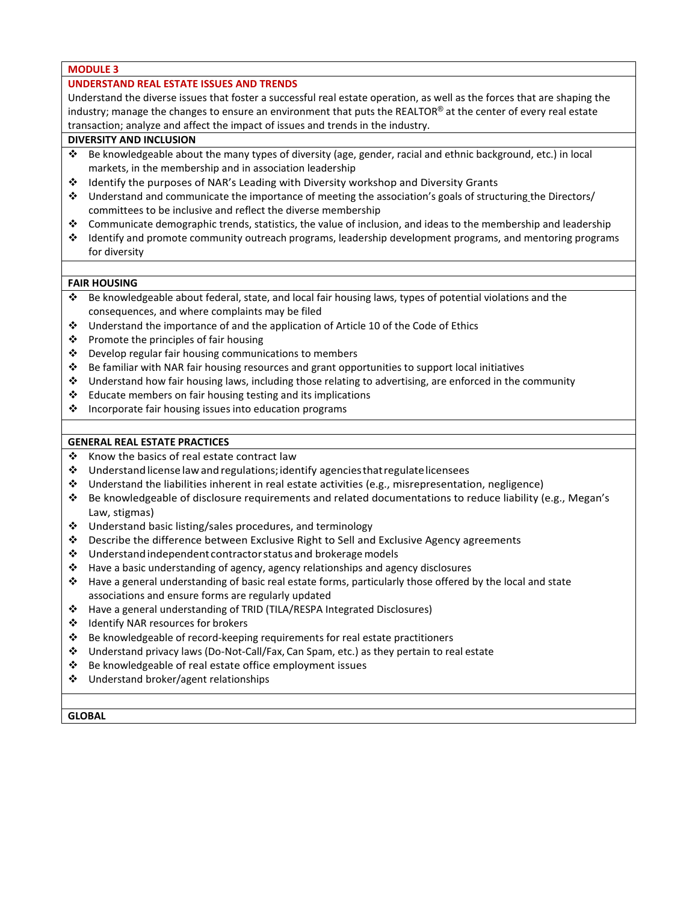### **MODULE 3**

### **UNDERSTAND REAL ESTATE ISSUES AND TRENDS**

Understand the diverse issues that foster a successful real estate operation, as well as the forces that are shaping the industry; manage the changes to ensure an environment that puts the REALTOR® at the center of every real estate transaction; analyze and affect the impact of issues and trends in the industry.

## **DIVERSITY AND INCLUSION**

- Be knowledgeable about the many types of diversity (age, gender, racial and ethnic background, etc.) in local markets, in the membership and in association leadership
- Identify the purposes of NAR's Leading with Diversity workshop and Diversity Grants
- $\cdot \cdot$  Understand and communicate the importance of meeting the association's goals of structuring the Directors/ committees to be inclusive and reflect the diverse membership
- Communicate demographic trends, statistics, the value of inclusion, and ideas to the membership and leadership
- Identify and promote community outreach programs, leadership development programs, and mentoring programs for diversity

### **FAIR HOUSING**

- Be knowledgeable about federal, state, and local fair housing laws, types of potential violations and the consequences, and where complaints may be filed
- $\div$  Understand the importance of and the application of Article 10 of the Code of Ethics
- $\div$  Promote the principles of fair housing
- ❖ Develop regular fair housing communications to members
- $\div$  Be familiar with NAR fair housing resources and grant opportunities to support local initiatives
- Understand how fair housing laws, including those relating to advertising, are enforced in the community
- $\cdot \cdot$  Educate members on fair housing testing and its implications
- $\cdot$  Incorporate fair housing issues into education programs

### **GENERAL REAL ESTATE PRACTICES**

- $\cdot$  Know the basics of real estate contract law
- $\div$  Understand license law and regulations; identify agencies that regulate licensees
- $\div$  Understand the liabilities inherent in real estate activities (e.g., misrepresentation, negligence)
- Be knowledgeable of disclosure requirements and related documentations to reduce liability (e.g., Megan's Law, stigmas)
- $\cdot$  Understand basic listing/sales procedures, and terminology
- Describe the difference between Exclusive Right to Sell and Exclusive Agency agreements
- $\cdot$  Understand independent contractor status and brokerage models
- $\cdot \cdot$  Have a basic understanding of agency, agency relationships and agency disclosures
- Have a general understanding of basic real estate forms, particularly those offered by the local and state associations and ensure forms are regularly updated
- Have a general understanding of TRID (TILA/RESPA Integrated Disclosures)
- Identify NAR resources for brokers
- $\cdot \cdot$  Be knowledgeable of record-keeping requirements for real estate practitioners
- Understand privacy laws (Do-Not-Call/Fax, Can Spam, etc.) as they pertain to real estate
- Be knowledgeable of real estate office employment issues
- Understand broker/agent relationships

**GLOBAL**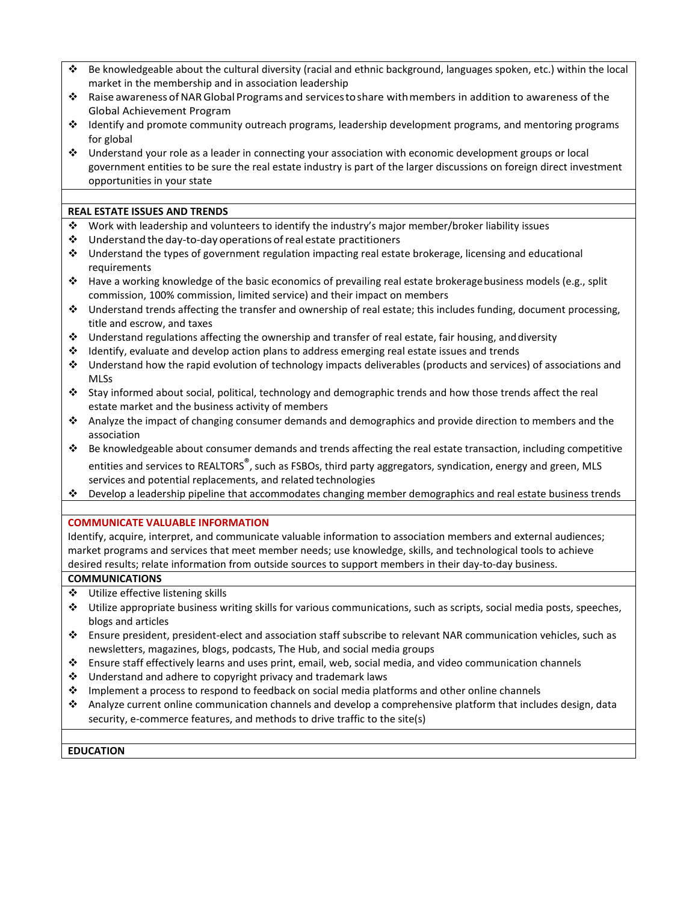- Be knowledgeable about the cultural diversity (racial and ethnic background, languages spoken, etc.) within the local market in the membership and in association leadership
- Raise awareness ofNARGlobal Programs and servicestoshare withmembers in addition to awareness of the Global Achievement Program
- Identify and promote community outreach programs, leadership development programs, and mentoring programs for global
- Understand your role as a leader in connecting your association with economic development groups or local government entities to be sure the real estate industry is part of the larger discussions on foreign direct investment opportunities in your state

## **REAL ESTATE ISSUES AND TRENDS**

- Work with leadership and volunteers to identify the industry's major member/broker liability issues
- Understand the day-to-day operations ofreal estate practitioners
- Understand the types of government regulation impacting real estate brokerage, licensing and educational requirements
- Have a working knowledge of the basic economics of prevailing real estate brokeragebusiness models (e.g., split commission, 100% commission, limited service) and their impact on members
- $\cdot$  Understand trends affecting the transfer and ownership of real estate; this includes funding, document processing, title and escrow, and taxes
- $\cdot \cdot$  Understand regulations affecting the ownership and transfer of real estate, fair housing, and diversity
- Identify, evaluate and develop action plans to address emerging real estate issues and trends
- Understand how the rapid evolution of technology impacts deliverables (products and services) of associations and MLSs
- Stay informed about social, political, technology and demographic trends and how those trends affect the real estate market and the business activity of members
- Analyze the impact of changing consumer demands and demographics and provide direction to members and the association
- $\cdot \cdot$  Be knowledgeable about consumer demands and trends affecting the real estate transaction, including competitive entities and services to REALTORS<sup>®</sup>, such as FSBOs, third party aggregators, syndication, energy and green, MLS services and potential replacements, and related technologies
- Develop a leadership pipeline that accommodates changing member demographics and real estate business trends

## **COMMUNICATE VALUABLE INFORMATION**

Identify, acquire, interpret, and communicate valuable information to association members and external audiences; market programs and services that meet member needs; use knowledge, skills, and technological tools to achieve desired results; relate information from outside sources to support members in their day-to-day business.

### **COMMUNICATIONS**

- Utilize effective listening skills
- Utilize appropriate business writing skills for various communications, such as scripts, social media posts, speeches, blogs and articles
- Ensure president, president-elect and association staff subscribe to relevant NAR communication vehicles, such as newsletters, magazines, blogs, podcasts, The Hub, and social media groups
- Ensure staff effectively learns and uses print, email, web, social media, and video communication channels
- $\cdot$  Understand and adhere to copyright privacy and trademark laws
- Implement a process to respond to feedback on social media platforms and other online channels
- Analyze current online communication channels and develop a comprehensive platform that includes design, data security, e-commerce features, and methods to drive traffic to the site(s)

### **EDUCATION**